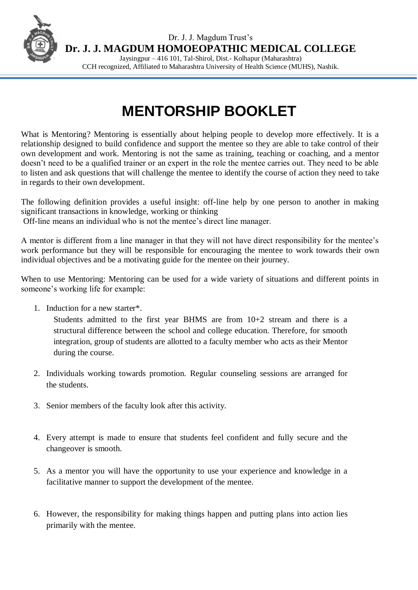

Dr. J. J. Magdum Trust's **Dr. J. J. MAGDUM HOMOEOPATHIC MEDICAL COLLEGE**

Jaysingpur – 416 101, Tal-Shirol, Dist.- Kolhapur (Maharashtra) CCH recognized, Affiliated to Maharashtra University of Health Science (MUHS), Nashik.

## **MENTORSHIP BOOKLET**

What is Mentoring? Mentoring is essentially about helping people to develop more effectively. It is a relationship designed to build confidence and support the mentee so they are able to take control of their own development and work. Mentoring is not the same as training, teaching or coaching, and a mentor doesn't need to be a qualified trainer or an expert in the role the mentee carries out. They need to be able to listen and ask questions that will challenge the mentee to identify the course of action they need to take in regards to their own development.

The following definition provides a useful insight: off-line help by one person to another in making significant transactions in knowledge, working or thinking

Off-line means an individual who is not the mentee's direct line manager.

A mentor is different from a line manager in that they will not have direct responsibility for the mentee's work performance but they will be responsible for encouraging the mentee to work towards their own individual objectives and be a motivating guide for the mentee on their journey.

When to use Mentoring: Mentoring can be used for a wide variety of situations and different points in someone's working life for example:

1. Induction for a new starter\*.

Students admitted to the first year BHMS are from 10+2 stream and there is a structural difference between the school and college education. Therefore, for smooth integration, group of students are allotted to a faculty member who acts as their Mentor during the course.

- 2. Individuals working towards promotion. Regular counseling sessions are arranged for the students.
- 3. Senior members of the faculty look after this activity.
- 4. Every attempt is made to ensure that students feel confident and fully secure and the changeover is smooth.
- 5. As a mentor you will have the opportunity to use your experience and knowledge in a facilitative manner to support the development of the mentee.
- 6. However, the responsibility for making things happen and putting plans into action lies primarily with the mentee.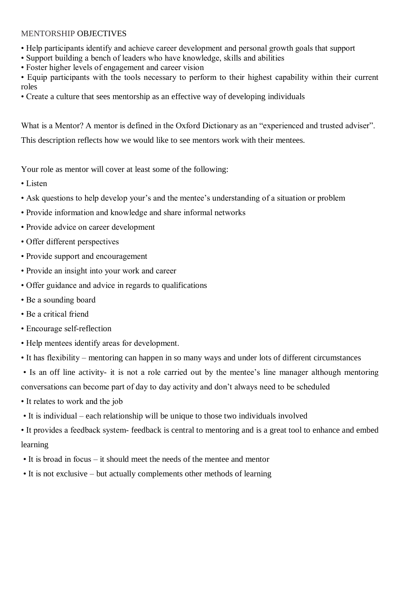## MENTORSHIP OBJECTIVES

- Help participants identify and achieve career development and personal growth goals that support
- Support building a bench of leaders who have knowledge, skills and abilities
- Foster higher levels of engagement and career vision

• Equip participants with the tools necessary to perform to their highest capability within their current roles

• Create a culture that sees mentorship as an effective way of developing individuals

What is a Mentor? A mentor is defined in the Oxford Dictionary as an "experienced and trusted adviser".

This description reflects how we would like to see mentors work with their mentees.

Your role as mentor will cover at least some of the following:

- Listen
- Ask questions to help develop your's and the mentee's understanding of a situation or problem
- Provide information and knowledge and share informal networks
- Provide advice on career development
- Offer different perspectives
- Provide support and encouragement
- Provide an insight into your work and career
- Offer guidance and advice in regards to qualifications
- Be a sounding board
- Be a critical friend
- Encourage self-reflection
- Help mentees identify areas for development.
- It has flexibility mentoring can happen in so many ways and under lots of different circumstances
- Is an off line activity- it is not a role carried out by the mentee's line manager although mentoring conversations can become part of day to day activity and don't always need to be scheduled
- It relates to work and the job
- It is individual each relationship will be unique to those two individuals involved
- It provides a feedback system- feedback is central to mentoring and is a great tool to enhance and embed learning
- It is broad in focus it should meet the needs of the mentee and mentor
- It is not exclusive but actually complements other methods of learning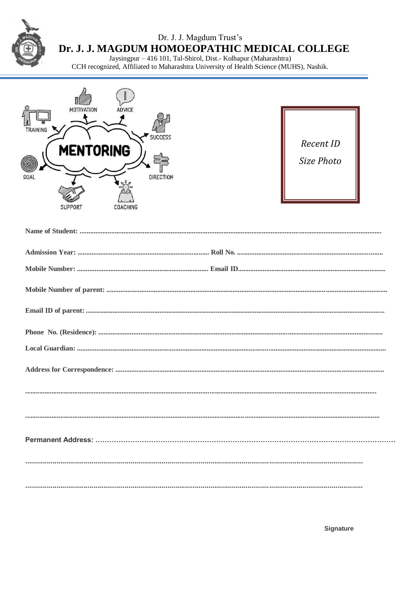Dr. J. J. Magdum Trust's

Dr. J. J. MAGDUM HOMOEOPATHIC MEDICAL COLLEGE

Jaysingpur – 416 101, Tal-Shirol, Dist.- Kolhapur (Maharashtra)<br>CCH recognized, Affiliated to Maharashtra University of Health Science (MUHS), Nashik.



| Recent ID  |
|------------|
| Size Photo |
|            |
|            |

| $\textbf{Local Guardian:} \textit{} \textit{} \textit{} \textit{} \textit{} \textit{} \textit{} \textit{} \textit{} \textit{} \textit{} \textit{} \textit{} \textit{} \textit{} \textit{} \textit{} \textit{} \textit{} \textit{} \textit{} \textit{} \textit{} \textit{} \textit{} \textit{} \textit{} \textit{} \textit{} \textit{} \textit{} \textit{} \textit{} \textit{} \textit{} \text$ |
|------------------------------------------------------------------------------------------------------------------------------------------------------------------------------------------------------------------------------------------------------------------------------------------------------------------------------------------------------------------------------------------------|
|                                                                                                                                                                                                                                                                                                                                                                                                |
|                                                                                                                                                                                                                                                                                                                                                                                                |
|                                                                                                                                                                                                                                                                                                                                                                                                |
|                                                                                                                                                                                                                                                                                                                                                                                                |
|                                                                                                                                                                                                                                                                                                                                                                                                |
|                                                                                                                                                                                                                                                                                                                                                                                                |

Signature